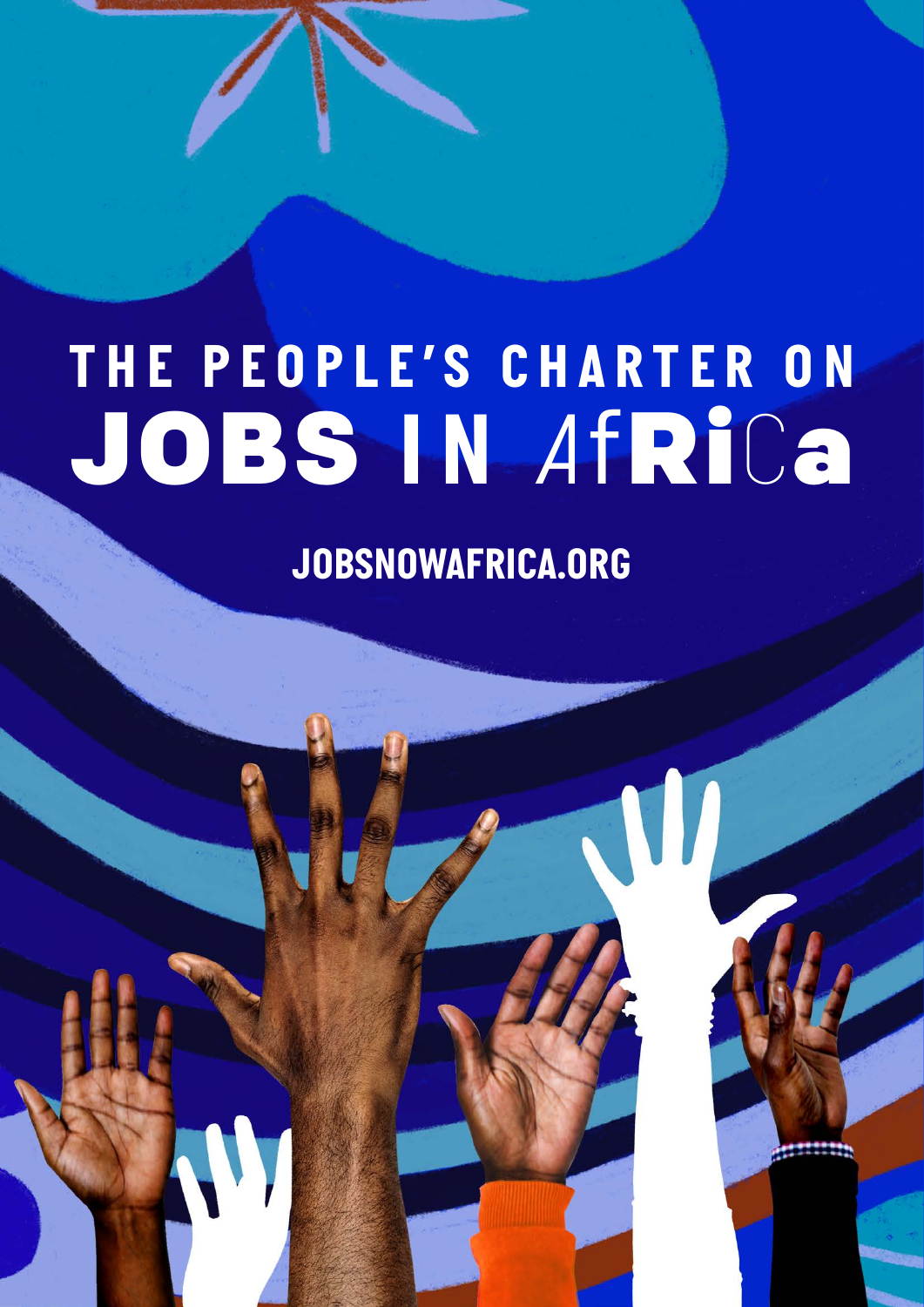# *THE PEOPLE'S CHARTER ON* JOBS *IN A*fRi*C*a

*JOBSNOWAFRICA.ORG*

*JOBSNOWAFRICA.ORG*

W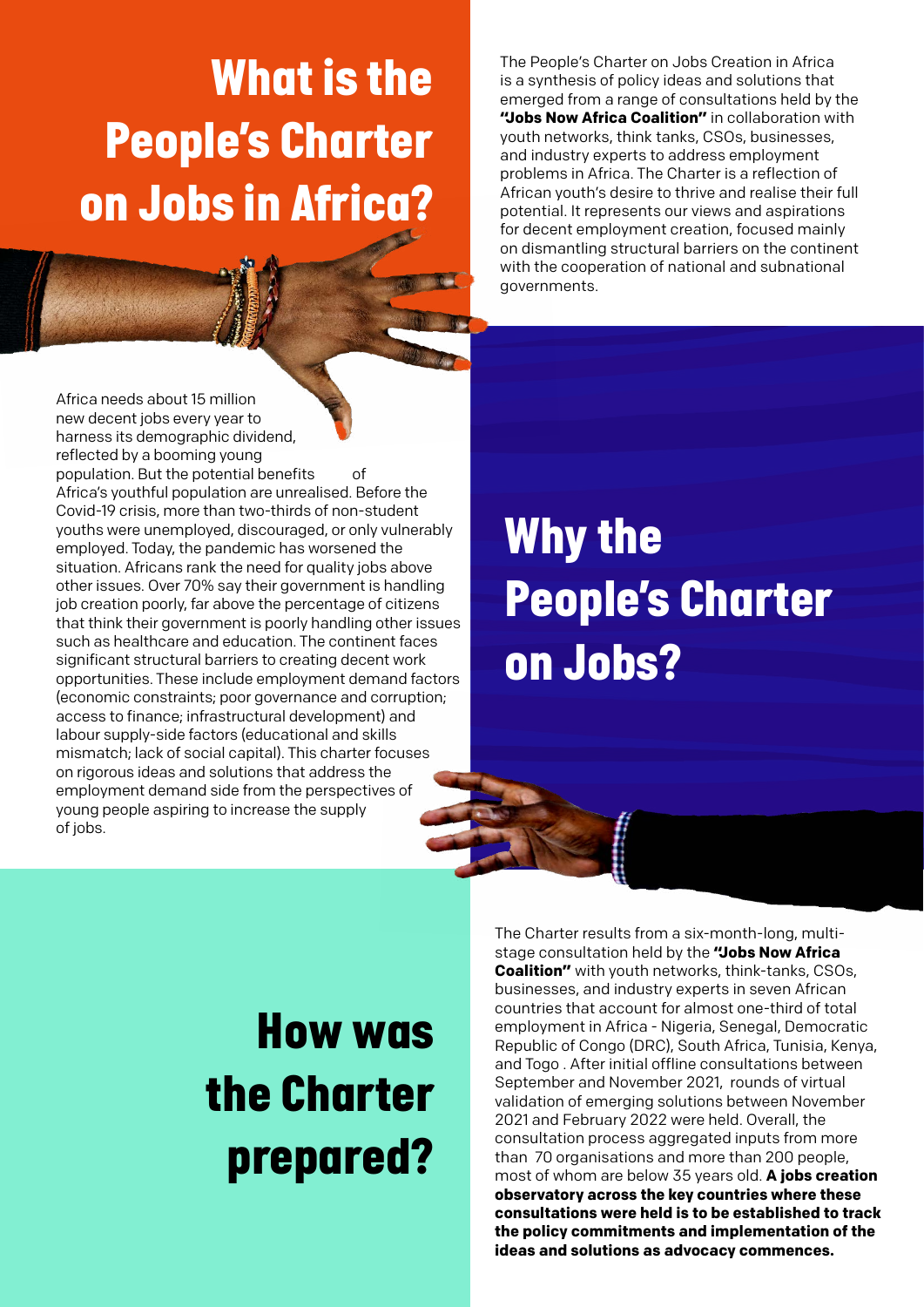### *What is the People's Charter on Jobs in Africa?*

Africa needs about 15 million new decent jobs every year to harness its demographic dividend, reflected by a booming young population. But the potential benefits of Africa's youthful population are unrealised. Before the Covid-19 crisis, more than two-thirds of non-student youths were unemployed, discouraged, or only vulnerably employed. Today, the pandemic has worsened the situation. Africans rank the need for quality jobs above other issues. Over 70% say their government is handling job creation poorly, far above the percentage of citizens that think their government is poorly handling other issues such as healthcare and education. The continent faces significant structural barriers to creating decent work opportunities. These include employment demand factors (economic constraints; poor governance and corruption; access to finance; infrastructural development) and labour supply-side factors (educational and skills mismatch; lack of social capital). This charter focuses on rigorous ideas and solutions that address the employment demand side from the perspectives of young people aspiring to increase the supply of jobs.

The People's Charter on Jobs Creation in Africa is a synthesis of policy ideas and solutions that emerged from a range of consultations held by the **"Jobs Now Africa Coalition"** in collaboration with youth networks, think tanks, CSOs, businesses, and industry experts to address employment problems in Africa. The Charter is a reflection of African youth's desire to thrive and realise their full potential. It represents our views and aspirations for decent employment creation, focused mainly on dismantling structural barriers on the continent with the cooperation of national and subnational governments.

### *Why the People's Charter on Jobs?*

### *How was the Charter prepared?*

The Charter results from a six-month-long, multistage consultation held by the **"Jobs Now Africa Coalition"** with youth networks, think-tanks, CSOs, businesses, and industry experts in seven African countries that account for almost one-third of total employment in Africa - Nigeria, Senegal, Democratic Republic of Congo (DRC), South Africa, Tunisia, Kenya, and Togo . After initial offline consultations between September and November 2021, rounds of virtual validation of emerging solutions between November 2021 and February 2022 were held. Overall, the consultation process aggregated inputs from more than 70 organisations and more than 200 people, most of whom are below 35 years old. **A jobs creation observatory across the key countries where these consultations were held is to be established to track the policy commitments and implementation of the ideas and solutions as advocacy commences.**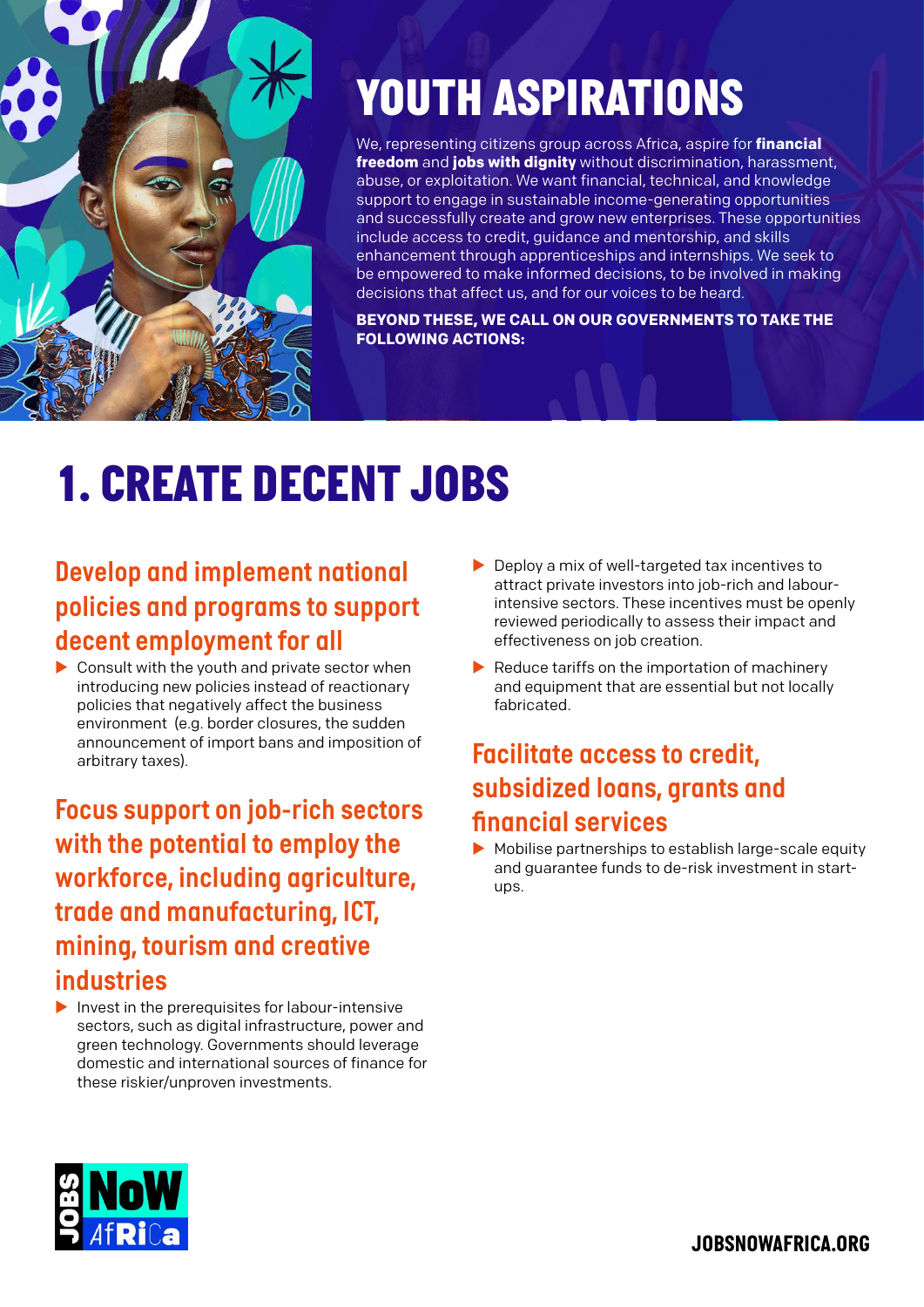

### *YOUTH ASPIRATIONS*

We, representing citizens group across Africa, aspire for **financial freedom** and **jobs with dignity** without discrimination, harassment, abuse, or exploitation. We want financial, technical, and knowledge support to engage in sustainable income-generating opportunities and successfully create and grow new enterprises. These opportunities include access to credit, guidance and mentorship, and skills enhancement through apprenticeships and internships. We seek to be empowered to make informed decisions, to be involved in making decisions that affect us, and for our voices to be heard.

**BEYOND THESE, WE CALL ON OUR GOVERNMENTS TO TAKE THE FOLLOWING ACTIONS:**

# *1. CREATE DECENT JOBS*

#### *Develop and implement national policies and programs to support decent employment for all*

 $\triangleright$  Consult with the youth and private sector when introducing new policies instead of reactionary policies that negatively affect the business environment (e.g. border closures, the sudden announcement of import bans and imposition of arbitrary taxes).

*Focus support on job-rich sectors with the potential to employ the workforce, including agriculture, trade and manufacturing, ICT, mining, tourism and creative industries*

 $\blacktriangleright$  Invest in the prerequisites for labour-intensive sectors, such as digital infrastructure, power and green technology. Governments should leverage domestic and international sources of finance for these riskier/unproven investments.

- $\blacktriangleright$  Deploy a mix of well-targeted tax incentives to attract private investors into job-rich and labourintensive sectors. These incentives must be openly reviewed periodically to assess their impact and effectiveness on job creation.
- $\blacktriangleright$  Reduce tariffs on the importation of machinery and equipment that are essential but not locally fabricated.

#### *Facilitate access to credit, subsidized loans, grants and financial services*

 $\blacktriangleright$  Mobilise partnerships to establish large-scale equity and guarantee funds to de-risk investment in startups.

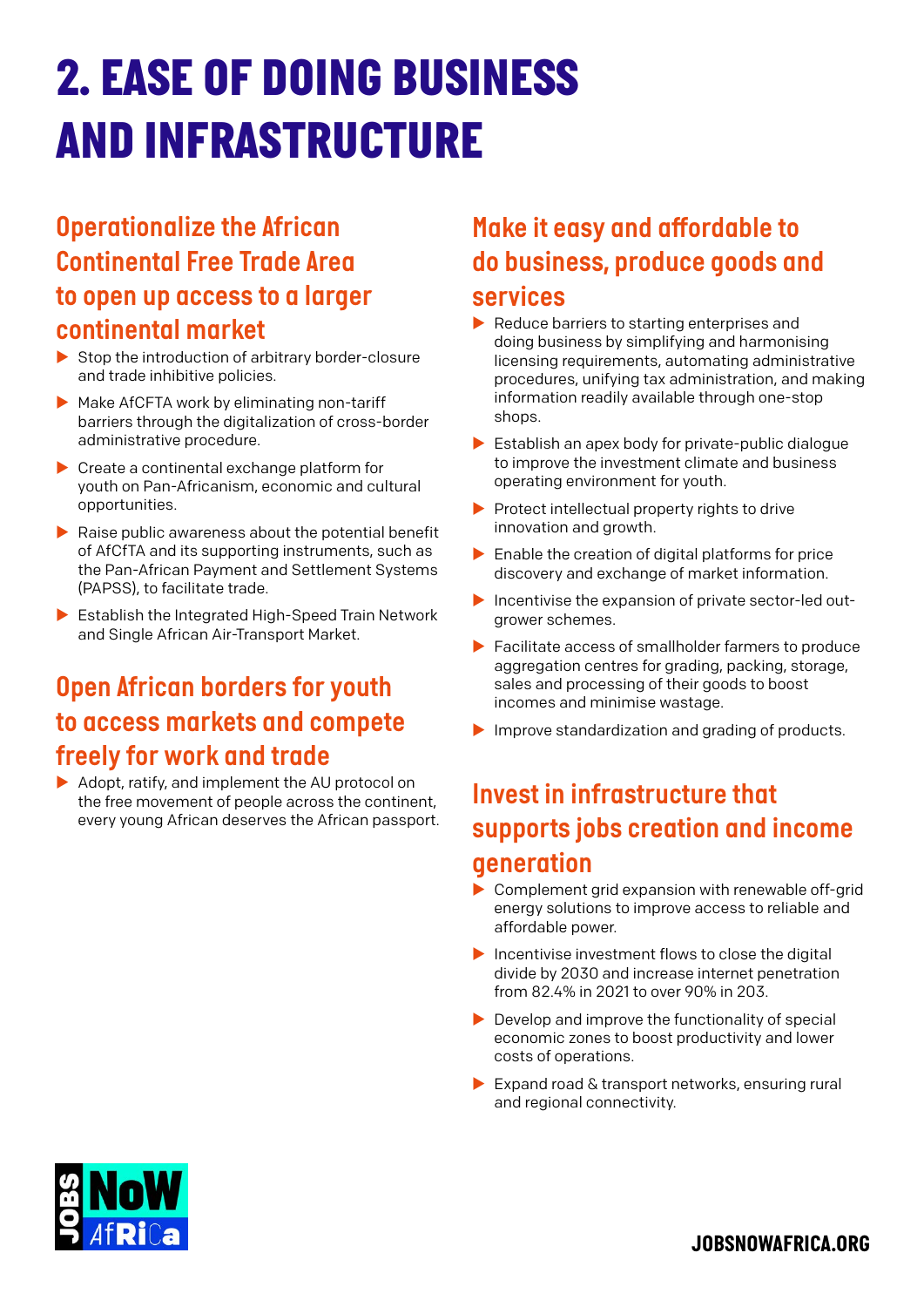### *2. EASE OF DOING BUSINESS AND INFRASTRUCTURE*

#### *Operationalize the African Continental Free Trade Area to open up access to a larger continental market*

- $\triangleright$  Stop the introduction of arbitrary border-closure and trade inhibitive policies.
- $\blacktriangleright$  Make AfCFTA work by eliminating non-tariff barriers through the digitalization of cross-border administrative procedure.
- $\blacktriangleright$  Create a continental exchange platform for youth on Pan-Africanism, economic and cultural opportunities.
- $\blacktriangleright$  Raise public awareness about the potential benefit of AfCfTA and its supporting instruments, such as the Pan-African Payment and Settlement Systems (PAPSS), to facilitate trade.
- $\blacktriangleright$  Establish the Integrated High-Speed Train Network and Single African Air-Transport Market.

#### *Open African borders for youth to access markets and compete freely for work and trade*

 $\blacktriangleright$  Adopt, ratify, and implement the AU protocol on the free movement of people across the continent, every young African deserves the African passport.

#### *Make it easy and affordable to do business, produce goods and services*

- $\blacktriangleright$  Reduce barriers to starting enterprises and doing business by simplifying and harmonising licensing requirements, automating administrative procedures, unifying tax administration, and making information readily available through one-stop shops.
- $\blacktriangleright$  Establish an apex body for private-public dialogue to improve the investment climate and business operating environment for youth.
- $\blacktriangleright$  Protect intellectual property rights to drive innovation and growth.
- $\blacktriangleright$  Enable the creation of digital platforms for price discovery and exchange of market information.
- $\blacktriangleright$  Incentivise the expansion of private sector-led outgrower schemes.
- $\blacktriangleright$  Facilitate access of smallholder farmers to produce aggregation centres for grading, packing, storage, sales and processing of their goods to boost incomes and minimise wastage.
- $\blacktriangleright$  Improve standardization and grading of products.

#### *Invest in infrastructure that supports jobs creation and income generation*

- $\triangleright$  Complement grid expansion with renewable off-grid energy solutions to improve access to reliable and affordable power.
- $\blacktriangleright$  Incentivise investment flows to close the digital divide by 2030 and increase internet penetration from 82.4% in 2021 to over 90% in 203.
- $\blacktriangleright$  Develop and improve the functionality of special economic zones to boost productivity and lower costs of operations.
- $\blacktriangleright$  Expand road & transport networks, ensuring rural and regional connectivity.

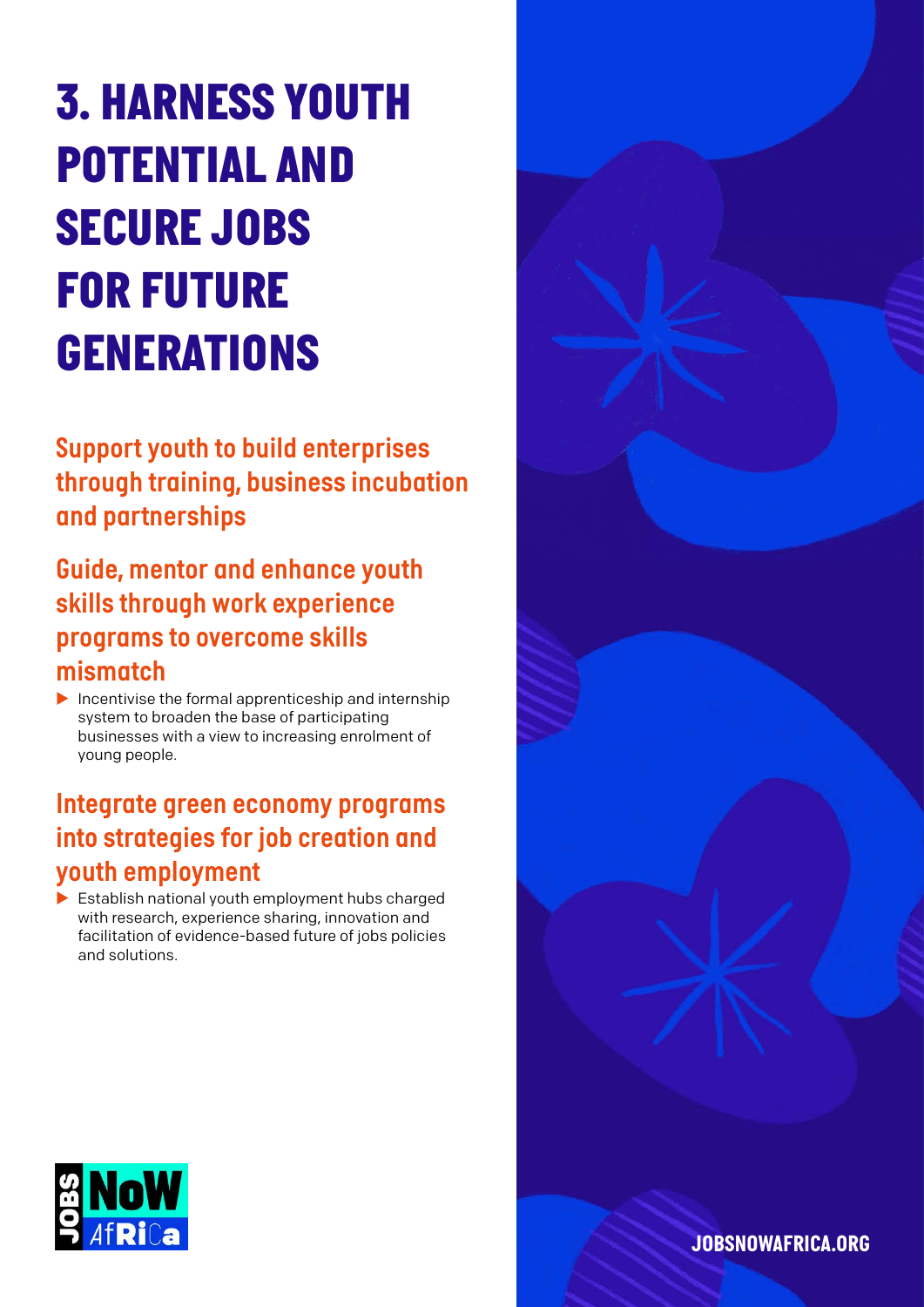# *3. HARNESS YOUTH POTENTIAL AND SECURE JOBS FOR FUTURE GENERATIONS*

*Support youth to build enterprises through training, business incubation and partnerships* 

*Guide, mentor and enhance youth skills through work experience programs to overcome skills mismatch* 

 $\blacktriangleright$  Incentivise the formal apprenticeship and internship system to broaden the base of participating businesses with a view to increasing enrolment of young people.

#### *Integrate green economy programs into strategies for job creation and youth employment*

 $\blacktriangleright$  Establish national youth employment hubs charged with research, experience sharing, innovation and facilitation of evidence-based future of jobs policies and solutions.



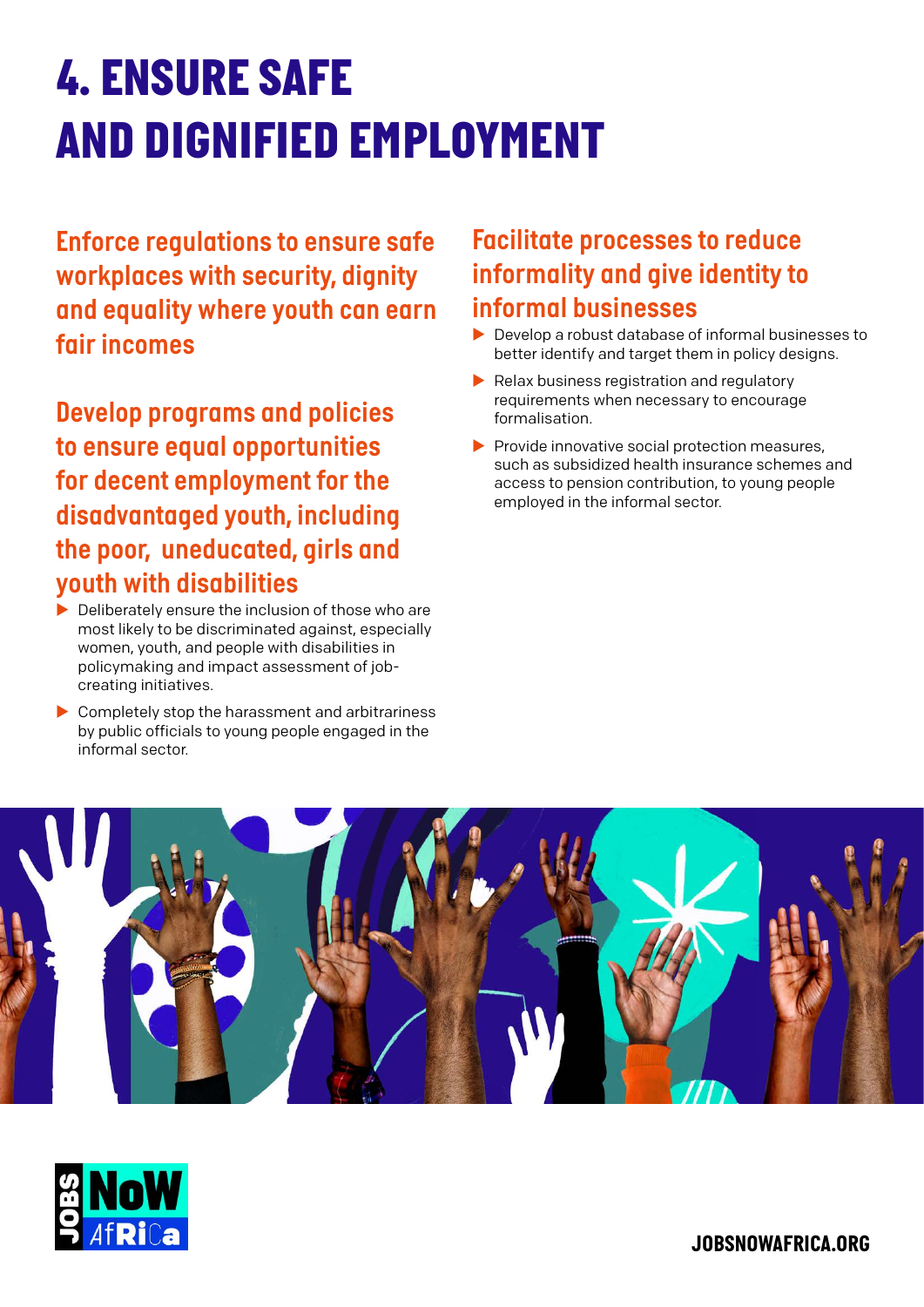# *4. ENSURE SAFE AND DIGNIFIED EMPLOYMENT*

*Enforce regulations to ensure safe workplaces with security, dignity and equality where youth can earn fair incomes*

*Develop programs and policies to ensure equal opportunities for decent employment for the disadvantaged youth, including the poor, uneducated, girls and youth with disabilities*

- $\blacktriangleright$  Deliberately ensure the inclusion of those who are most likely to be discriminated against, especially women, youth, and people with disabilities in policymaking and impact assessment of jobcreating initiatives.
- $\blacktriangleright$  Completely stop the harassment and arbitrariness by public officials to young people engaged in the informal sector.

#### *Facilitate processes to reduce informality and give identity to informal businesses*

- $\blacktriangleright$  Develop a robust database of informal businesses to better identify and target them in policy designs.
- $\blacktriangleright$  Relax business registration and regulatory requirements when necessary to encourage formalisation.
- $\blacktriangleright$  Provide innovative social protection measures, such as subsidized health insurance schemes and access to pension contribution, to young people employed in the informal sector.